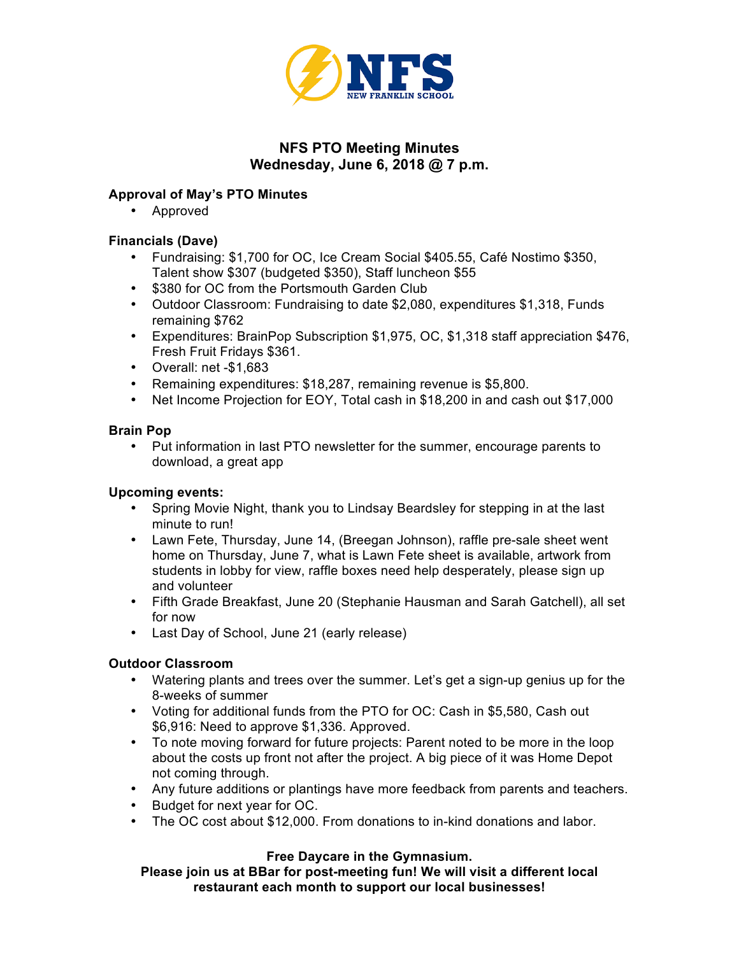

# **NFS PTO Meeting Minutes Wednesday, June 6, 2018 @ 7 p.m.**

# **Approval of May's PTO Minutes**

• Approved

# **Financials (Dave)**

- Fundraising: \$1,700 for OC, Ice Cream Social \$405.55, Café Nostimo \$350, Talent show \$307 (budgeted \$350), Staff luncheon \$55
- \$380 for OC from the Portsmouth Garden Club
- Outdoor Classroom: Fundraising to date \$2,080, expenditures \$1,318, Funds remaining \$762
- Expenditures: BrainPop Subscription \$1,975, OC, \$1,318 staff appreciation \$476, Fresh Fruit Fridays \$361.
- Overall: net -\$1,683
- Remaining expenditures: \$18,287, remaining revenue is \$5,800.
- Net Income Projection for EOY, Total cash in \$18,200 in and cash out \$17,000

# **Brain Pop**

• Put information in last PTO newsletter for the summer, encourage parents to download, a great app

## **Upcoming events:**

- Spring Movie Night, thank you to Lindsay Beardsley for stepping in at the last minute to run!
- Lawn Fete, Thursday, June 14, (Breegan Johnson), raffle pre-sale sheet went home on Thursday, June 7, what is Lawn Fete sheet is available, artwork from students in lobby for view, raffle boxes need help desperately, please sign up and volunteer
- Fifth Grade Breakfast, June 20 (Stephanie Hausman and Sarah Gatchell), all set for now
- Last Day of School, June 21 (early release)

# **Outdoor Classroom**

- Watering plants and trees over the summer. Let's get a sign-up genius up for the 8-weeks of summer
- Voting for additional funds from the PTO for OC: Cash in \$5,580, Cash out \$6,916: Need to approve \$1,336. Approved.
- To note moving forward for future projects: Parent noted to be more in the loop about the costs up front not after the project. A big piece of it was Home Depot not coming through.
- Any future additions or plantings have more feedback from parents and teachers.
- Budget for next year for OC.
- The OC cost about \$12,000. From donations to in-kind donations and labor.

## **Free Daycare in the Gymnasium.**

**Please join us at BBar for post-meeting fun! We will visit a different local restaurant each month to support our local businesses!**